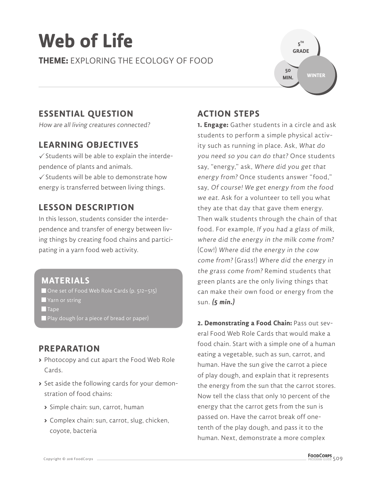# **Web of Life**

**THEME:** EXPLORING THE ECOLOGY OF FOOD



### **ESSENTIAL QUESTION**

How are all living creatures connected?

#### **LEARNING OBJECTIVES**

 $\checkmark$  Students will be able to explain the interdependence of plants and animals.

 $\checkmark$  Students will be able to demonstrate how energy is transferred between living things.

### **LESSON DESCRIPTION**

In this lesson, students consider the interdependence and transfer of energy between living things by creating food chains and participating in a yarn food web activity.

### **MATERIALS**

■ One set of Food Web Role Cards (p. 512–515)

- **Yarn or string**
- $\blacksquare$  Tape
- Play dough (or a piece of bread or paper)

#### **PREPARATION**

- **>** Photocopy and cut apart the Food Web Role Cards.
- **>** Set aside the following cards for your demonstration of food chains:
	- **>** Simple chain: sun, carrot, human
	- **>** Complex chain: sun, carrot, slug, chicken, coyote, bacteria

### **ACTION STEPS**

**1. Engage:** Gather students in a circle and ask students to perform a simple physical activity such as running in place. Ask, What do you need so you can do that? Once students say, "energy," ask, Where did you get that energy from? Once students answer "food," say, Of course! We get energy from the food we eat. Ask for a volunteer to tell you what they ate that day that gave them energy. Then walk students through the chain of that food. For example, If you had a glass of milk, where did the energy in the milk come from? (Cow!) Where did the energy in the cow come from? (Grass!) Where did the energy in the grass come from? Remind students that green plants are the only living things that can make their own food or energy from the sun. **(5 min.)**

**2. Demonstrating a Food Chain:** Pass out several Food Web Role Cards that would make a food chain. Start with a simple one of a human eating a vegetable, such as sun, carrot, and human. Have the sun give the carrot a piece of play dough, and explain that it represents the energy from the sun that the carrot stores. Now tell the class that only 10 percent of the energy that the carrot gets from the sun is passed on. Have the carrot break off onetenth of the play dough, and pass it to the human. Next, demonstrate a more complex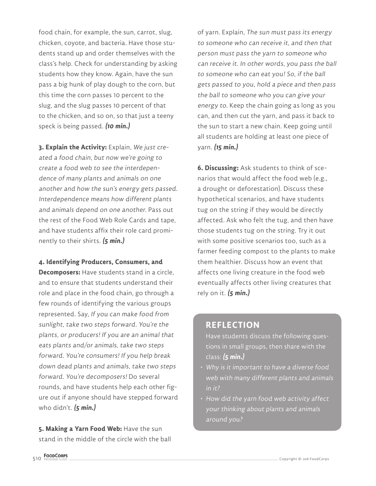food chain, for example, the sun, carrot, slug, chicken, coyote, and bacteria. Have those students stand up and order themselves with the class's help. Check for understanding by asking students how they know. Again, have the sun pass a big hunk of play dough to the corn, but this time the corn passes 10 percent to the slug, and the slug passes 10 percent of that to the chicken, and so on, so that just a teeny speck is being passed. **(10 min.)**

**3. Explain the Activity:** Explain, We just created a food chain, but now we're going to create a food web to see the interdependence of many plants and animals on one another and how the sun's energy gets passed. Interdependence means how different plants and animals depend on one another. Pass out the rest of the Food Web Role Cards and tape, and have students affix their role card prominently to their shirts. **(5 min.)**

#### **4. Identifying Producers, Consumers, and**

**Decomposers:** Have students stand in a circle, and to ensure that students understand their role and place in the food chain, go through a few rounds of identifying the various groups represented. Say, If you can make food from sunlight, take two steps forward. You're the plants, or producers! If you are an animal that eats plants and/or animals, take two steps forward. You're consumers! If you help break down dead plants and animals, take two steps forward. You're decomposers! Do several rounds, and have students help each other figure out if anyone should have stepped forward who didn't. **(5 min.)**

**5. Making a Yarn Food Web:** Have the sun stand in the middle of the circle with the ball

of yarn. Explain, The sun must pass its energy to someone who can receive it, and then that person must pass the yarn to someone who can receive it. In other words, you pass the ball to someone who can eat you! So, if the ball gets passed to you, hold a piece and then pass the ball to someone who you can give your energy to. Keep the chain going as long as you can, and then cut the yarn, and pass it back to the sun to start a new chain. Keep going until all students are holding at least one piece of yarn. **(15 min.)**

**6. Discussing:** Ask students to think of scenarios that would affect the food web (e.g., a drought or deforestation). Discuss these hypothetical scenarios, and have students tug on the string if they would be directly affected. Ask who felt the tug, and then have those students tug on the string. Try it out with some positive scenarios too, such as a farmer feeding compost to the plants to make them healthier. Discuss how an event that affects one living creature in the food web eventually affects other living creatures that rely on it. **(5 min.)**

#### **REFLECTION**

Have students discuss the following questions in small groups, then share with the class: **(5 min.)**

- Why is it important to have a diverse food web with many different plants and animals in it?
- How did the yarn food web activity affect your thinking about plants and animals around you?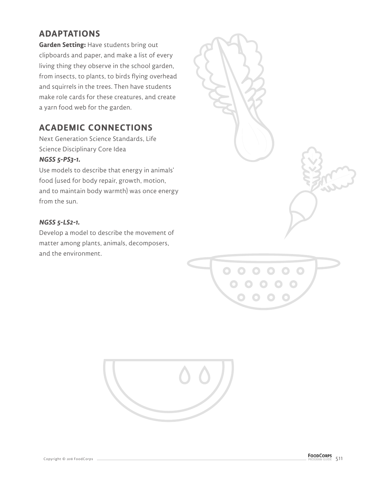### **ADAPTATIONS**

**Garden Setting:** Have students bring out clipboards and paper, and make a list of every living thing they observe in the school garden, from insects, to plants, to birds flying overhead and squirrels in the trees. Then have students make role cards for these creatures, and create a yarn food web for the garden.

### **ACADEMIC CONNECTIONS**

Next Generation Science Standards, Life Science Disciplinary Core Idea

#### **NGSS 5-PS3-1.**

Use models to describe that energy in animals' food (used for body repair, growth, motion, and to maintain body warmth) was once energy from the sun.

#### **NGSS 5-LS2-1.**

Develop a model to describe the movement of matter among plants, animals, decomposers, and the environment.





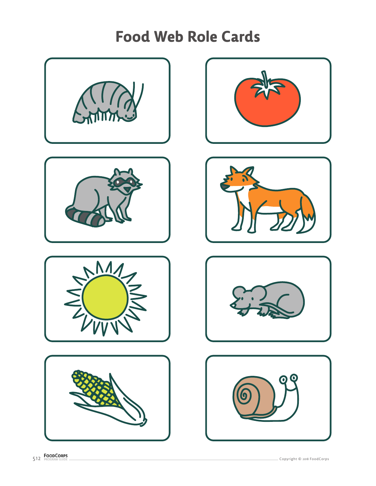













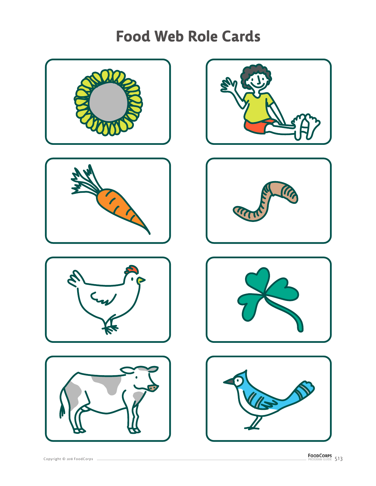













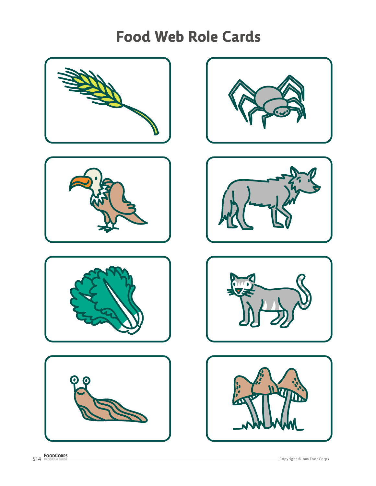